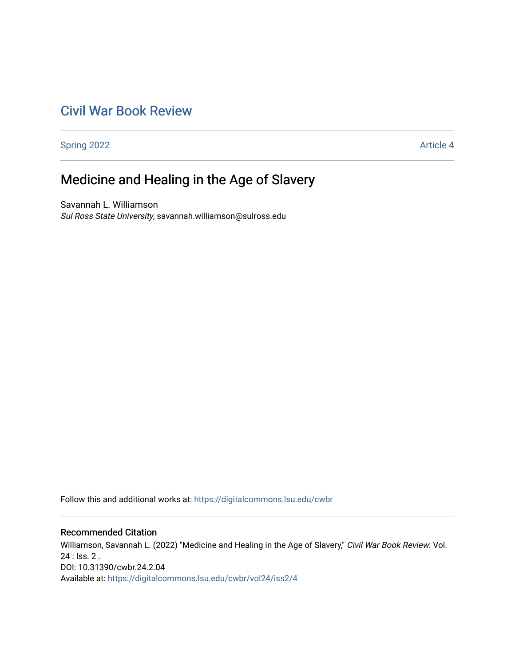## [Civil War Book Review](https://digitalcommons.lsu.edu/cwbr)

[Spring 2022](https://digitalcommons.lsu.edu/cwbr/vol24/iss2) **Article 4** 

# Medicine and Healing in the Age of Slavery

Savannah L. Williamson Sul Ross State University, savannah.williamson@sulross.edu

Follow this and additional works at: [https://digitalcommons.lsu.edu/cwbr](https://digitalcommons.lsu.edu/cwbr?utm_source=digitalcommons.lsu.edu%2Fcwbr%2Fvol24%2Fiss2%2F4&utm_medium=PDF&utm_campaign=PDFCoverPages) 

#### Recommended Citation

Williamson, Savannah L. (2022) "Medicine and Healing in the Age of Slavery," Civil War Book Review: Vol. 24 : Iss. 2 . DOI: 10.31390/cwbr.24.2.04 Available at: [https://digitalcommons.lsu.edu/cwbr/vol24/iss2/4](https://digitalcommons.lsu.edu/cwbr/vol24/iss2/4?utm_source=digitalcommons.lsu.edu%2Fcwbr%2Fvol24%2Fiss2%2F4&utm_medium=PDF&utm_campaign=PDFCoverPages)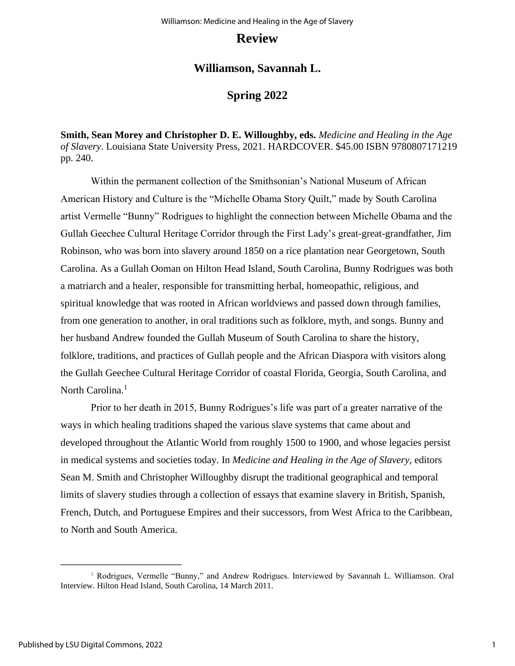### **Review**

### **Williamson, Savannah L.**

## **Spring 2022**

**Smith, Sean Morey and Christopher D. E. Willoughby, eds.** *Medicine and Healing in the Age of Slavery*. Louisiana State University Press, 2021. HARDCOVER. \$45.00 ISBN 9780807171219 pp. 240.

Within the permanent collection of the Smithsonian's National Museum of African American History and Culture is the "Michelle Obama Story Quilt," made by South Carolina artist Vermelle "Bunny" Rodrigues to highlight the connection between Michelle Obama and the Gullah Geechee Cultural Heritage Corridor through the First Lady's great-great-grandfather, Jim Robinson, who was born into slavery around 1850 on a rice plantation near Georgetown, South Carolina. As a Gullah Ooman on Hilton Head Island, South Carolina, Bunny Rodrigues was both a matriarch and a healer, responsible for transmitting herbal, homeopathic, religious, and spiritual knowledge that was rooted in African worldviews and passed down through families, from one generation to another, in oral traditions such as folklore, myth, and songs. Bunny and her husband Andrew founded the Gullah Museum of South Carolina to share the history, folklore, traditions, and practices of Gullah people and the African Diaspora with visitors along the Gullah Geechee Cultural Heritage Corridor of coastal Florida, Georgia, South Carolina, and North Carolina.<sup>1</sup>

Prior to her death in 2015, Bunny Rodrigues's life was part of a greater narrative of the ways in which healing traditions shaped the various slave systems that came about and developed throughout the Atlantic World from roughly 1500 to 1900, and whose legacies persist in medical systems and societies today. In *Medicine and Healing in the Age of Slavery,* editors Sean M. Smith and Christopher Willoughby disrupt the traditional geographical and temporal limits of slavery studies through a collection of essays that examine slavery in British, Spanish, French, Dutch, and Portuguese Empires and their successors, from West Africa to the Caribbean, to North and South America.

<sup>1</sup> Rodrigues, Vermelle "Bunny," and Andrew Rodrigues. Interviewed by Savannah L. Williamson. Oral Interview. Hilton Head Island, South Carolina, 14 March 2011.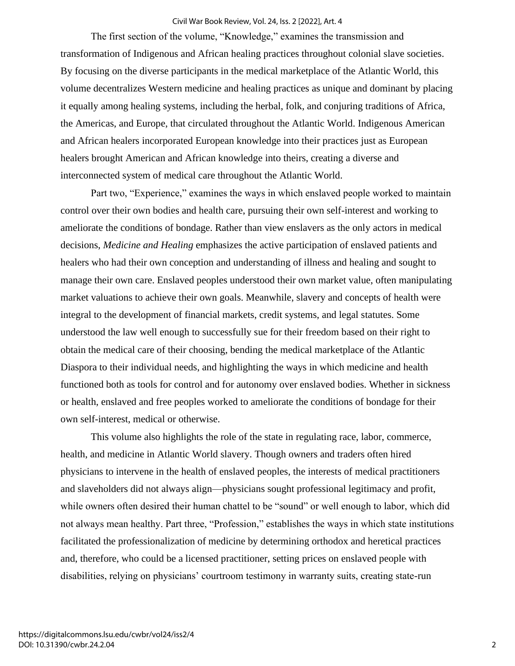#### Civil War Book Review, Vol. 24, Iss. 2 [2022], Art. 4

The first section of the volume, "Knowledge," examines the transmission and transformation of Indigenous and African healing practices throughout colonial slave societies. By focusing on the diverse participants in the medical marketplace of the Atlantic World, this volume decentralizes Western medicine and healing practices as unique and dominant by placing it equally among healing systems, including the herbal, folk, and conjuring traditions of Africa, the Americas, and Europe, that circulated throughout the Atlantic World. Indigenous American and African healers incorporated European knowledge into their practices just as European healers brought American and African knowledge into theirs, creating a diverse and interconnected system of medical care throughout the Atlantic World.

Part two, "Experience," examines the ways in which enslaved people worked to maintain control over their own bodies and health care, pursuing their own self-interest and working to ameliorate the conditions of bondage. Rather than view enslavers as the only actors in medical decisions, *Medicine and Healing* emphasizes the active participation of enslaved patients and healers who had their own conception and understanding of illness and healing and sought to manage their own care. Enslaved peoples understood their own market value, often manipulating market valuations to achieve their own goals. Meanwhile, slavery and concepts of health were integral to the development of financial markets, credit systems, and legal statutes. Some understood the law well enough to successfully sue for their freedom based on their right to obtain the medical care of their choosing, bending the medical marketplace of the Atlantic Diaspora to their individual needs, and highlighting the ways in which medicine and health functioned both as tools for control and for autonomy over enslaved bodies. Whether in sickness or health, enslaved and free peoples worked to ameliorate the conditions of bondage for their own self-interest, medical or otherwise.

This volume also highlights the role of the state in regulating race, labor, commerce, health, and medicine in Atlantic World slavery. Though owners and traders often hired physicians to intervene in the health of enslaved peoples, the interests of medical practitioners and slaveholders did not always align—physicians sought professional legitimacy and profit, while owners often desired their human chattel to be "sound" or well enough to labor, which did not always mean healthy. Part three, "Profession," establishes the ways in which state institutions facilitated the professionalization of medicine by determining orthodox and heretical practices and, therefore, who could be a licensed practitioner, setting prices on enslaved people with disabilities, relying on physicians' courtroom testimony in warranty suits, creating state-run